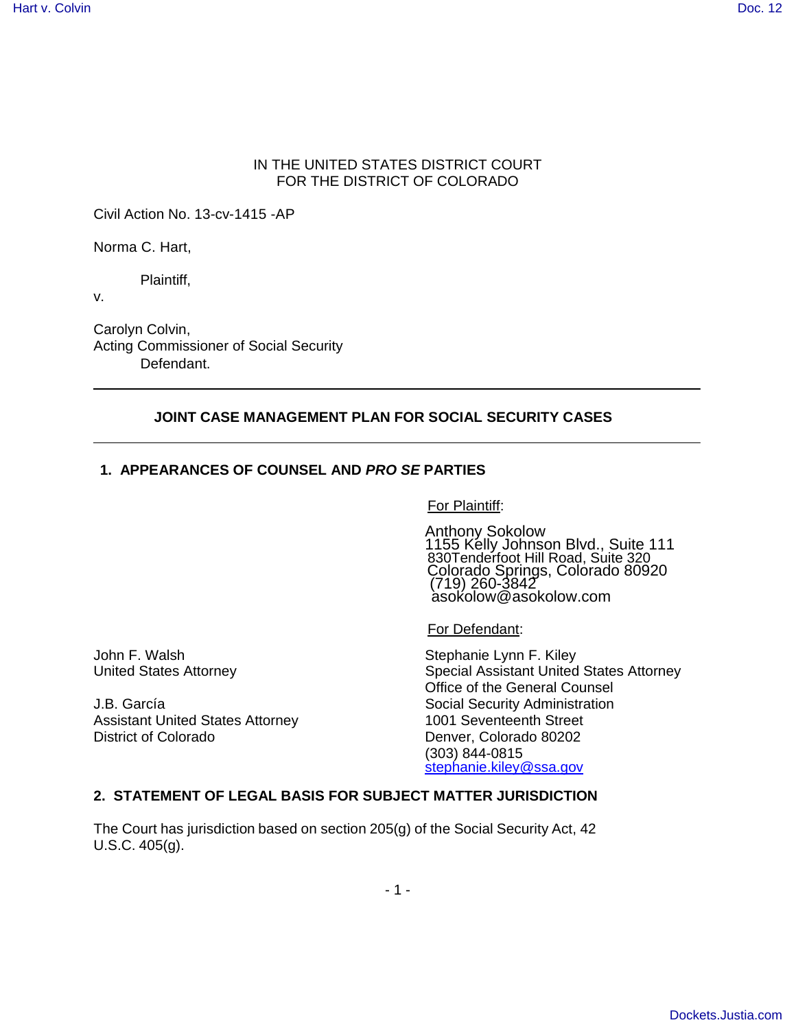### IN THE UNITED STATES DISTRICT COURT FOR THE DISTRICT OF COLORADO

Civil Action No. 13-cv-1415 -AP

Norma C. Hart,

Plaintiff,

v.

Carolyn Colvin, Acting Commissioner of Social Security Defendant.

### **JOINT CASE MANAGEMENT PLAN FOR SOCIAL SECURITY CASES**

### **1. APPEARANCES OF COUNSEL AND PRO SE PARTIES**

For Plaintiff:

 Anthony Sokolow 1155 Kelly Johnson Blvd., Suite 111 830Tenderfoot Hill Road, Suite 320 Colorado Springs, Colorado 80920  $(719)$  260-3842 asokolow@asokolow.com

For Defendant:

J.B. García Social Security Administration Assistant United States Attorney 1001 Seventeenth Street District of Colorado Denver, Colorado 80202

John F. Walsh Stephanie Lynn F. Kiley United States Attorney **Special Assistant United States Attorney**  Office of the General Counsel (303) 844-0815 stephanie.kiley@ssa.gov

## **2. STATEMENT OF LEGAL BASIS FOR SUBJECT MATTER JURISDICTION**

The Court has jurisdiction based on section 205(g) of the Social Security Act, 42 U.S.C. 405(g).

- 1 -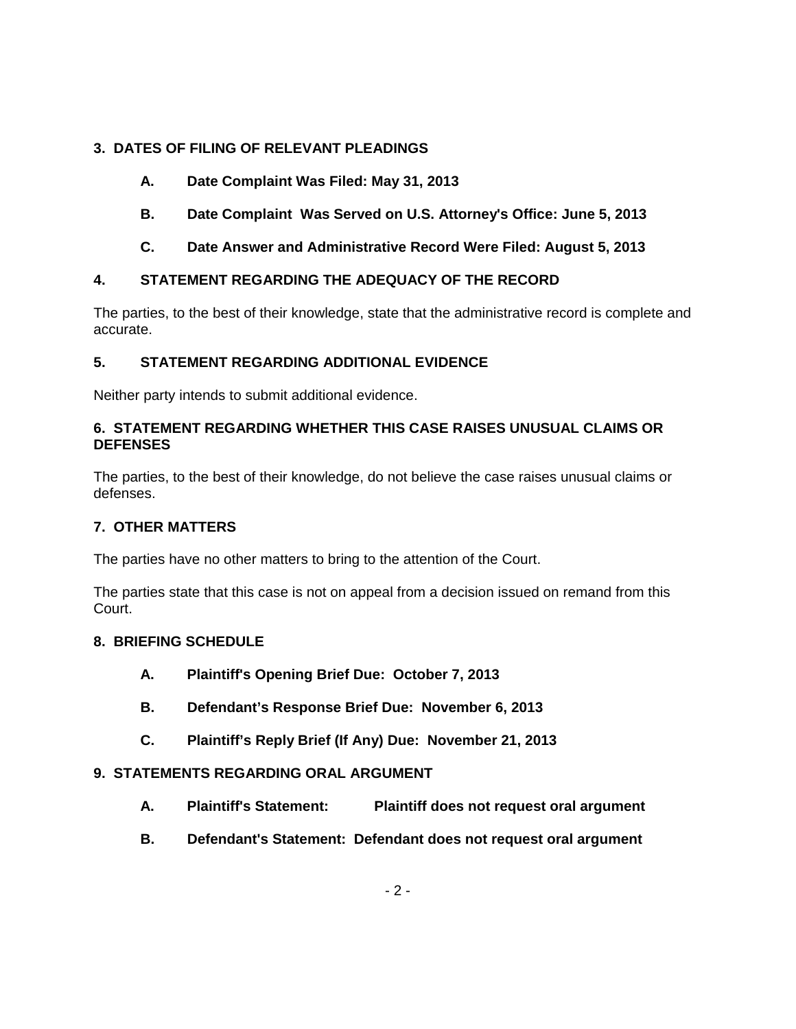# **3. DATES OF FILING OF RELEVANT PLEADINGS**

- **A. Date Complaint Was Filed: May 31, 2013**
- **B. Date Complaint Was Served on U.S. Attorney's Office: June 5, 2013**
- **C. Date Answer and Administrative Record Were Filed: August 5, 2013**

## **4. STATEMENT REGARDING THE ADEQUACY OF THE RECORD**

The parties, to the best of their knowledge, state that the administrative record is complete and accurate.

## **5. STATEMENT REGARDING ADDITIONAL EVIDENCE**

Neither party intends to submit additional evidence.

## **6. STATEMENT REGARDING WHETHER THIS CASE RAISES UNUSUAL CLAIMS OR DEFENSES**

The parties, to the best of their knowledge, do not believe the case raises unusual claims or defenses.

# **7. OTHER MATTERS**

The parties have no other matters to bring to the attention of the Court.

The parties state that this case is not on appeal from a decision issued on remand from this Court.

## **8. BRIEFING SCHEDULE**

- **A. Plaintiff's Opening Brief Due: October 7, 2013**
- **B. Defendant's Response Brief Due: November 6, 2013**
- **C. Plaintiff's Reply Brief (If Any) Due: November 21, 2013**

## **9. STATEMENTS REGARDING ORAL ARGUMENT**

- **A. Plaintiff's Statement: Plaintiff does not request oral argument**
- **B. Defendant's Statement: Defendant does not request oral argument**